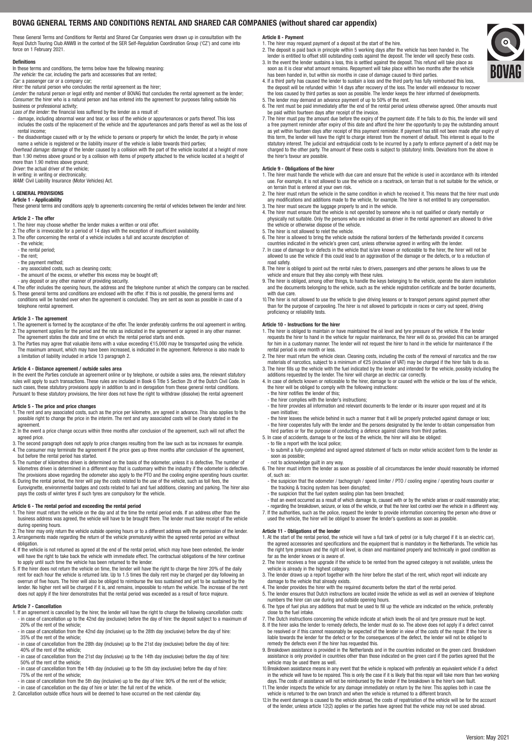# BOVAG GENERAL TERMS AND CONDITIONS RENTAL AND SHARED CAR COMPANIES (without shared car appendix)

These General Terms and Conditions for Rental and Shared Car Companies were drawn up in consultation with the Royal Dutch Touring Club ANWB in the context of the SER Self-Regulation Coordination Group ('CZ') and come into force on 1 February 2021.

### Definitions

In these terms and conditions, the terms below have the following meaning:

*The vehicle:* the car, including the parts and accessories that are rented; *Car:* a passenger car or a company car;

*Hirer:* the natural person who concludes the rental agreement as the hirer; *Lender:* the natural person or legal entity and member of BOVAG that concludes the rental agreement as the lender; *Consumer:* the hirer who is a natural person and has entered into the agreement for purposes falling outside his business or professional activity;

- *Loss of the lender:* the financial loss suffered by the lender as a result of:
- damage, including abnormal wear and tear, or loss of the vehicle or appurtenances or parts thereof. This loss includes the costs of the replacement of the vehicle and the appurtenances and parts thereof as well as the loss of rental income;
- the disadvantage caused with or by the vehicle to persons or property for which the lender, the party in whose name a vehicle is registered or the liability insurer of the vehicle is liable towards third parties;
- *Overhead damage:* damage of the lender caused by a collision with the part of the vehicle located at a height of more than 1.90 metres above ground or by a collision with items of property attached to the vehicle located at a height of more than 1.90 metres above ground;

*Driver:* the actual driver of the vehicle;

In writing: in writing or electronically; *WAM:* Civil Liability Insurance (Motor Vehicles) Act.

#### I. GENERAL PROVISIONS Article 1 - Applicability

These general terms and conditions apply to agreements concerning the rental of vehicles between the lender and hirer.

## Article 2 - The offer

1. The hirer may choose whether the lender makes a written or oral offer.

- 2. The offer is irrevocable for a period of 14 days with the exception of insufficient availability.
- 3. The offer concerning the rental of a vehicle includes a full and accurate description of: - the vehicle;
- the rental period;
- the rent;
- the payment method;
- any associated costs, such as cleaning costs;
- the amount of the excess, or whether this excess may be bought off;
- any deposit or any other manner of providing security.
- 4. The offer includes the opening hours, the address and the telephone number at which the company can be reached.<br>5. These general terms and conditions are enclosed with the offer. If this is not possible, the general ter
- conditions will be handed over when the agreement is concluded. They are sent as soon as possible in case of a telephone rental agreement.

## Article 3 - The agreement

- 1. The agreement is formed by the acceptance of the offer. The lender preferably confirms the oral agreement in writing.<br>2. The agreement applies for the period and the rate as indicated in the agreement or agreed in any o
- The agreement states the date and time on which the rental period starts and ends. 3. The Parties may agree that valuable items with a value exceeding €15,000 may be transported using the vehicle.
- The maximum amount, which may have been increased, is indicated in the agreement. Reference is also made to a limitation of liability included in article 13 paragraph 2.

#### Article 4 - Distance agreement / outside sales area

In the event the Parties conclude an agreement online or by telephone, or outside a sales area, the relevant statutory<br>rules will apply to such transactions. These rules are included in Book 6 Title 5 Section 2b of the Dut such cases, these statutory provisions apply in addition to and in derogation from these general rental conditions. Pursuant to these statutory provisions, the hirer does not have the right to withdraw (dissolve) the rental agreement

## Article 5 - The price and price changes

- 1. The rent and any associated costs, such as the price per kilometre, are agreed in advance. This also applies to the<br>possible right to change the price in the interim. The rent and any associated costs will be clearly st .<br>agreement
- 2. In the event a price change occurs within three months after conclusion of the agreement, such will not affect the agreed price.
- 3. The second paragraph does not apply to price changes resulting from the law such as tax increases for example.
- 4. The consumer may terminate the agreement if the price goes up three months after conclusion of the agreement, but before the rental period has started. 5. The number of kilometres driven is determined on the basis of the odometer, unless it is defective. The number of
- kilometres driven is determined in a different way that is customary within the industry if the odometer is defective. The provisions above regarding the odometer also apply to the PTO and the cooling engine operating hours counter. 6. During the rental period, the hirer will pay the costs related to the use of the vehicle, such as toll fees, the
- Eurovignette, environmental badges and costs related to fuel and fuel additions, cleaning and parking. The hirer also pays the costs of winter tyres if such tyres are compulsory for the vehicle.

## Article 6 - The rental period and exceeding the rental period

- 1. The hirer must return the vehicle on the day and at the time the rental period ends. If an address other than the business address was agreed, the vehicle will have to be brought there. The lender must take receipt of the vehicle during opening hours.
- 2. The hirer may only return the vehicle outside opening hours or to a different address with the permission of the lende 3. Arrangements made regarding the return of the vehicle prematurely within the agreed rental period are without obligation.
- 4. If the vehicle is not returned as agreed at the end of the rental period, which may have been extended, the lender will have the right to take back the vehicle with immediate effect. The contractual obligations of the hirer continue to apply until such time the vehicle has been returned to the lender.
- 5. If the hirer does not return the vehicle on time, the lender will have the right to charge the hirer 20% of the daily rent for each hour the vehicle is returned late. Up to 1.5 times the daily rent may be charged per day following an<br>overrun of five hours. The hirer will also be obliged to reimburse the loss sustained and yet to be sustai lender. No higher rent will be charged if it is, and remains, impossible to return the vehicle. The increase of the rent does not apply if the hirer demonstrates that the rental period was exceeded as a result of force majeure.

## Article 7 - Cancellation

- 1. If an agreement is cancelled by the hirer, the lender will have the right to charge the following cancellation costs: - in case of cancellation up to the 42nd day (exclusive) before the day of hire: the deposit subject to a maximum of 20% of the rent of the vehicle;
- in case of cancellation from the 42nd day (inclusive) up to the 28th day (exclusive) before the day of hire: 35% of the rent of the vehicle;
- in case of cancellation from the 28th day (inclusive) up to the 21st day (exclusive) before the day of hire: 40% of the rent of the vehicle;
- in case of cancellation from the 21st day (inclusive) up to the 14th day (exclusive) before the day of hire: 50% of the rent of the vehicle;
- in case of cancellation from the 14th day (inclusive) up to the 5th day (exclusive) before the day of hire: 75% of the rent of the vehicle;
- in case of cancellation from the 5th day (inclusive) up to the day of hire: 90% of the rent of the vehicle; - in case of cancellation on the day of hire or later: the full rent of the vehicle.
- 2. Cancellation outside office hours will be deemed to have occurred on the next calendar day.

# Article 8 - Payment

- 1. The hirer may request payment of a deposit at the start of the hire. 2. The deposit is paid back in principle within 5 working days after the vehicle has been handed in. The
- lender is entitled to offset still outstanding costs against the deposit. The lender will specify these costs.<br>3. In the event the lender sustains a loss, this is settled against the deposit. This refund will take place as
- has been handed in, but within six months in case of damage caused to third parties. 4. If a third party has caused the lender to sustain a loss and the third party has fully reimbursed this loss, the deposit will be refunded within 14 days after recovery of the loss. The lender will endeavour to recover
- the loss caused by third parties as soon as possible. The lender keeps the hirer informed of developments. 5. The lender may demand an advance payment of up to 50% of the rent. 6. The rent must be paid immediately after the end of the rental period unless otherwise agreed. Other amounts must
- be paid within fourteen days after receipt of the invoice. 7. The hirer must pay the amount due before the expiry of the payment date. If he fails to do this, the lender will send
- a free payment reminder after expiry of this date and afford the hirer the opportunity to pay the outstanding amount as yet within fourteen days after receipt of this payment reminder. If payment has still not been made after expiry of this term, the lender will have the right to charge interest from the moment of default. This interest is equal to the<br>statutory interest. The judicial and extrajudicial costs to be incurred by a party to enforce payment o charged to the other party. The amount of these costs is subject to (statutory) limits. Deviations from the above in the hirer's favour are possible.

### Article 9 - Obligations of the hirer

- 1. The hirer must handle the vehicle with due care and ensure that the vehicle is used in accordance with its intended<br>use. For example, it is not allowed to use the vehicle on a racetrack, on terrain that is not suitable
- on terrain that is entered at your own risk. 2. The hirer must return the vehicle in the same condition in which he received it. This means that the hirer must undo any modifications and additions made to the vehicle, for example. The hirer is not entitled to any compensation. 3. The hirer must secure the luggage properly to and in the vehicle.
- 4. The hirer must ensure that the vehicle is not operated by someone who is not qualified or clearly mentally or<br>physically not suitable. Only the persons who are indicated as driver in the rental agreement are allowed to
- the vehicle or otherwise dispose of the vehicle. 5. The hirer is not allowed to relet the vehicle.
- 6. The hirer is allowed to bring the vehicle outside the national borders of the Netherlands provided it concerns countries indicated in the vehicle's green card, unless otherwise agreed in writing with the lender.
- 7. In case of damage to or defects in the vehicle that is/are known or noticeable to the hirer, the hirer will not be allowed to use the vehicle if this could lead to an aggravation of the damage or the defects, or to a reduction of
- road safety. 8. The hirer is obliged to point out the rental rules to drivers, passengers and other persons he allows to use the vehicle and ensure that they also comply with these rules.
- 9. The hirer is obliged, among other things, to handle the keys belonging to the vehicle, operate the alarm installation and the documents belonging to the vehicle, such as the vehicle registration certificate and the border documents, with due care.
- 10.The hirer is not allowed to use the vehicle to give driving lessons or to transport persons against payment other than for the purpose of carpooling. The hirer is not allowed to participate in races or carry out speed, driving proficiency or reliability tests.

#### Article 10 - Instructions for the hirer

- 1. The hirer is obliged to maintain or have maintained the oil level and tyre pressure of the vehicle. If the lender requests the hirer to hand in the vehicle for regular maintenance, the hirer will do so, provided this can be arranged<br>for him in a customary manner. The lender will not request the hirer to hand in the vehicle for mainten rental period is one month or less.
- 2. The hirer must return the vehicle clean. Cleaning costs, including the costs of the removal of narcotics and the raw materials of narcotics, subject to a minimum of €25 (inclusive of VAT) may be charged if the hirer fails to do so.<br>3. The hirer fills up the vehicle with the fuel indicated by the lender and intended for the vehicle, possi
- additions requested by the lender. The hirer will charge an electric car correctly. 4. In case of defects known or noticeable to the hirer, damage to or caused with the vehicle or the loss of the vehicle,
- the hirer will be obliged to comply with the following instructions:
- the hirer notifies the lender of this;
- the hirer complies with the lender's instructions;
- the hirer provides all information and relevant documents to the lender or its insurer upon request and at its own initiative;
- the hirer leaves the vehicle behind in such a manner that it will be properly protected against damage or loss; - the hirer cooperates fully with the lender and the persons designated by the lender to obtain compensation from hird parties or for the purpose of conducting a defence against claims from third parties.
- 5. In case of accidents, damage to or the loss of the vehicle, the hirer will also be obliged:
- to file a report with the local police;
- to submit a fully-completed and signed agreed statement of facts on motor vehicle accident form to the lender as soon as possible;
- not to acknowledge guilt in any way. 6. The hirer must inform the lender as soon as possible of all circumstances the lender should reasonably be informed of, such as:
- the suspicion that the odometer / tachograph / speed limiter / PTO / cooling engine / operating hours counter or
- the tracking & tracing system has been disrupted; the suspicion that the fuel system sealing plan has been breached;
- that an event occurred as a result of which damage to, caused with or by the vehicle arises or could reasonably arise; regarding the breakdown, seizure, or loss of the vehicle, or that the hirer lost control over the vehicle in a different way.
- 7. If the authorities, such as the police, request the lender to provide information concerning the person who drove or used the vehicle, the hirer will be obliged to answer the lender's questions as soon as possible.

#### Article 11 - Obligations of the lender

- 1. At the start of the rental period, the vehicle will have a full tank of petrol (or is fully charged if it is an electric car), the agreed accessories and specifications and the equipment that is mandatory in the Netherlands. The vehicle has the right tyre pressure and the right oil level, is clean and maintained properly and technically in good condition as far as the lender knows or is aware of.
- 2. The hirer receives a free upgrade if the vehicle to be rented from the agreed category is not available, unless the vehicle is already in the highest category.
- 3. The lender draws up a report together with the hirer before the start of the rent, which report will indicate any damage to the vehicle that already exists.
- 4. The lender provides the hirer with the required documents before the start of the rental period.
- 5. The lender ensures that Dutch instructions are located inside the vehicle as well as well an overview of telephone numbers the hirer can use during and outside opening hours.
- 6. The type of fuel plus any additions that must be used to fill up the vehicle are indicated on the vehicle, preferably close to the fuel intake.
- 7. The Dutch instructions concerning the vehicle indicate at which levels the oil and tyre pressure must be k 8. If the hirer asks the lender to remedy defects, the lender must do so. The above does not apply if a defect cannot
- be resolved or if this cannot reasonably be expected of the lender in view of the costs of the repair. If the hirer is liable towards the lender for the defect or for the consequences of the defect, the lender will not be obliged to remedy the defects even if the hirer has requested this.
- 9. Breakdown assistance is provided in the Netherlands and in the countries indicated on the green card. Breakdown assistance is only provided in countries other than those indicated on the green card if the parties agreed that the vehicle may be used there as well.
- 10.Breakdown assistance means in any event that the vehicle is replaced with preferably an equivalent vehicle if a defect in the vehicle will have to be repaired. This is only the case if it is likely that this repair will take more than two working days. The costs of assistance will not be reimbursed by the lender if the breakdown is the hirer's own fault.
- 11. The lender inspects the vehicle for any damage immediately on return by the hirer. This applies both in case the vehicle is returned to the own branch and when the vehicle is returned to a different branch. 12.In the event damage is caused to the vehicle abroad, the costs of repatriation of the vehicle will be for the account of the lender, unless article 12(2) applies or the parties have agreed that the vehicle may not be used abroad.

Version: May 2021